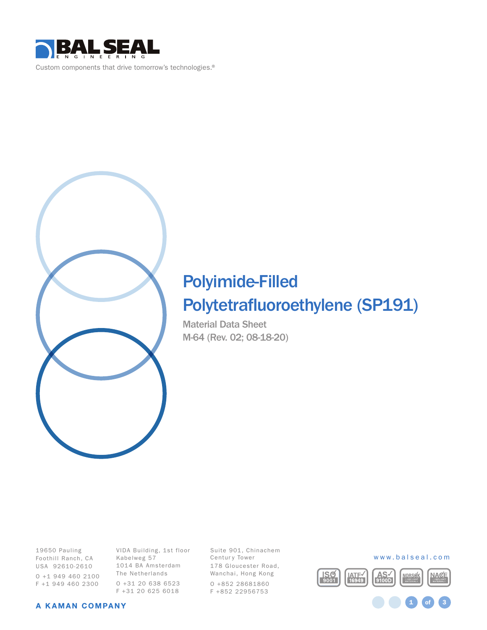



# Polyimide-Filled

# Polytetrafluoroethylene (SP191)

Material Data Sheet M-64 (Rev. 02; 08-18-20)

19650 Pauling Foothill Ranch, CA USA 92610-2610 O +1 949 460 2100 F +1 949 460 2300

VIDA Building, 1st floor Kabelweg 57 1014 BA Amsterdam The Netherlands O +31 20 638 6523 F +31 20 625 6018

Suite 901, Chinachem Centur y Tower 178 Gloucester Road, Wanchai, Hong Kong O +852 28681860 F +852 22956753



1 **of** 3

#### A KAMAN COMPANY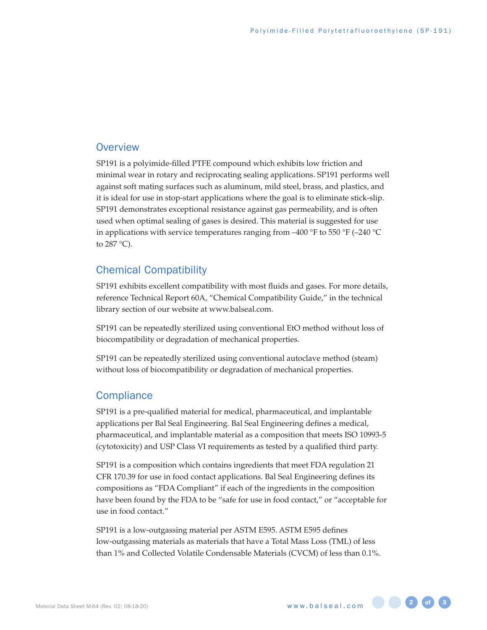## **Overview**

SP191 is a polyimide-filled PTFE compound which exhibits low friction and minimal wear in rotary and reciprocating sealing applications. SP191 performs well against soft mating surfaces such as aluminum, mild steel, brass, and plastics, and it is ideal for use in stop-start applications where the goal is to eliminate stick-slip. SP191 demonstrates exceptional resistance against gas permeability, and is often used when optimal sealing of gases is desired. This material is suggested for use in applications with service temperatures ranging from –400 °F to 550 °F (–240 °C) to 287 °C).

# Chemical Compatibility

SP191 exhibits excellent compatibility with most fluids and gases. For more details, reference Technical Report 60A, "Chemical Compatibility Guide," in the technical library section of our website at [www.balseal.com](http://www.balseal.com).

SP191 can be repeatedly sterilized using conventional EtO method without loss of biocompatibility or degradation of mechanical properties.

SP191 can be repeatedly sterilized using conventional autoclave method (steam) without loss of biocompatibility or degradation of mechanical properties.

# **Compliance**

SP191 is a pre-qualified material for medical, pharmaceutical, and implantable applications per Bal Seal Engineering. Bal Seal Engineering defines a medical, pharmaceutical, and implantable material as a composition that meets ISO 10993-5 (cytotoxicity) and USP Class VI requirements as tested by a qualified third party.

SP191 is a composition which contains ingredients that meet FDA regulation 21 CFR 170.39 for use in food contact applications. Bal Seal Engineering defines its compositions as "FDA Compliant" if each of the ingredients in the composition have been found by the FDA to be "safe for use in food contact," or "acceptable for use in food contact."

SP191 is a low-outgassing material per ASTM E595. ASTM E595 defines low-outgassing materials as materials that have a Total Mass Loss (TML) of less than 1% and Collected Volatile Condensable Materials (CVCM) of less than 0.1%.